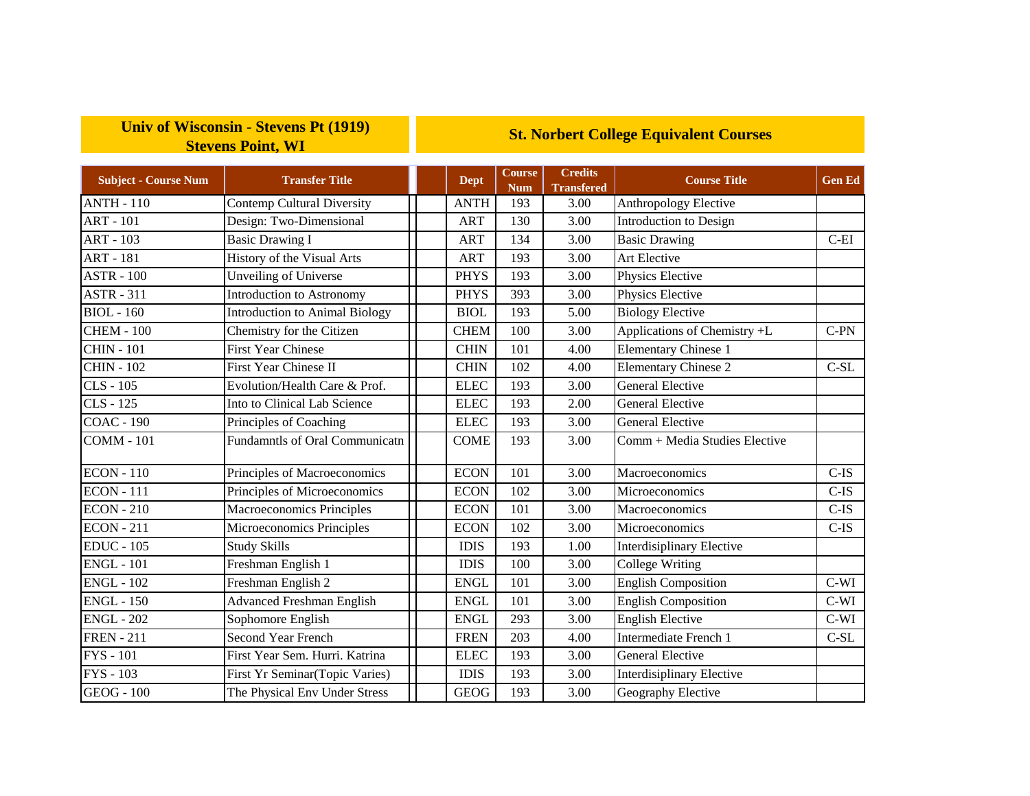## **Univ of Wisconsin - Stevens Pt (1919) Stevens Point, WI**

## **St. Norbert College Equivalent Courses**

| <b>Subject - Course Num</b> | <b>Transfer Title</b>                  | <b>Dept</b> | Course<br><b>Num</b> | <b>Credits</b><br><b>Transfered</b> | <b>Course Title</b>              | <b>Gen Ed</b> |
|-----------------------------|----------------------------------------|-------------|----------------------|-------------------------------------|----------------------------------|---------------|
| <b>ANTH - 110</b>           | <b>Contemp Cultural Diversity</b>      | <b>ANTH</b> | 193                  | 3.00                                | Anthropology Elective            |               |
| <b>ART - 101</b>            | Design: Two-Dimensional                | <b>ART</b>  | 130                  | 3.00                                | Introduction to Design           |               |
| <b>ART - 103</b>            | <b>Basic Drawing I</b>                 | <b>ART</b>  | 134                  | 3.00                                | <b>Basic Drawing</b>             | $C-EI$        |
| <b>ART - 181</b>            | History of the Visual Arts             | <b>ART</b>  | 193                  | 3.00                                | Art Elective                     |               |
| <b>ASTR - 100</b>           | <b>Unveiling of Universe</b>           | <b>PHYS</b> | 193                  | 3.00                                | Physics Elective                 |               |
| <b>ASTR - 311</b>           | <b>Introduction to Astronomy</b>       | <b>PHYS</b> | 393                  | 3.00                                | Physics Elective                 |               |
| $BIOL - 160$                | <b>Introduction to Animal Biology</b>  | <b>BIOL</b> | 193                  | 5.00                                | <b>Biology Elective</b>          |               |
| <b>CHEM - 100</b>           | Chemistry for the Citizen              | <b>CHEM</b> | 100                  | 3.00                                | Applications of Chemistry +L     | $C-PN$        |
| <b>CHIN - 101</b>           | <b>First Year Chinese</b>              | <b>CHIN</b> | 101                  | 4.00                                | <b>Elementary Chinese 1</b>      |               |
| <b>CHIN - 102</b>           | <b>First Year Chinese II</b>           | <b>CHIN</b> | 102                  | 4.00                                | <b>Elementary Chinese 2</b>      | $C-SL$        |
| $CLS - 105$                 | Evolution/Health Care & Prof.          | <b>ELEC</b> | 193                  | 3.00                                | <b>General Elective</b>          |               |
| CLS - 125                   | Into to Clinical Lab Science           | <b>ELEC</b> | 193                  | 2.00                                | <b>General Elective</b>          |               |
| <b>COAC - 190</b>           | Principles of Coaching                 | <b>ELEC</b> | 193                  | 3.00                                | <b>General Elective</b>          |               |
| <b>COMM - 101</b>           | <b>Fundamntls of Oral Communicatn</b>  | <b>COME</b> | 193                  | 3.00                                | Comm + Media Studies Elective    |               |
| <b>ECON</b> - 110           | Principles of Macroeconomics           | <b>ECON</b> | 101                  | 3.00                                | Macroeconomics                   | $C$ -IS       |
| <b>ECON</b> - 111           | Principles of Microeconomics           | <b>ECON</b> | 102                  | 3.00                                | Microeconomics                   | $C-IS$        |
| <b>ECON</b> - 210           | Macroeconomics Principles              | <b>ECON</b> | 101                  | 3.00                                | Macroeconomics                   | $C$ -IS       |
| <b>ECON</b> - 211           | Microeconomics Principles              | <b>ECON</b> | 102                  | 3.00                                | Microeconomics                   | $C$ -IS       |
| <b>EDUC</b> - 105           | <b>Study Skills</b>                    | <b>IDIS</b> | 193                  | 1.00                                | <b>Interdisiplinary Elective</b> |               |
| <b>ENGL - 101</b>           | Freshman English 1                     | <b>IDIS</b> | 100                  | 3.00                                | <b>College Writing</b>           |               |
| <b>ENGL - 102</b>           | Freshman English 2                     | <b>ENGL</b> | 101                  | 3.00                                | <b>English Composition</b>       | $C-WI$        |
| <b>ENGL - 150</b>           | <b>Advanced Freshman English</b>       | <b>ENGL</b> | 101                  | 3.00                                | <b>English Composition</b>       | $C-WI$        |
| <b>ENGL - 202</b>           | Sophomore English                      | <b>ENGL</b> | 293                  | 3.00                                | <b>English Elective</b>          | $C-WI$        |
| <b>FREN</b> - 211           | <b>Second Year French</b>              | <b>FREN</b> | 203                  | 4.00                                | Intermediate French 1            | $C-SL$        |
| <b>FYS</b> - 101            | First Year Sem. Hurri. Katrina         | <b>ELEC</b> | 193                  | 3.00                                | <b>General Elective</b>          |               |
| <b>FYS</b> - 103            | <b>First Yr Seminar</b> (Topic Varies) | <b>IDIS</b> | 193                  | 3.00                                | <b>Interdisiplinary Elective</b> |               |
| <b>GEOG</b> - 100           | The Physical Env Under Stress          | <b>GEOG</b> | 193                  | 3.00                                | Geography Elective               |               |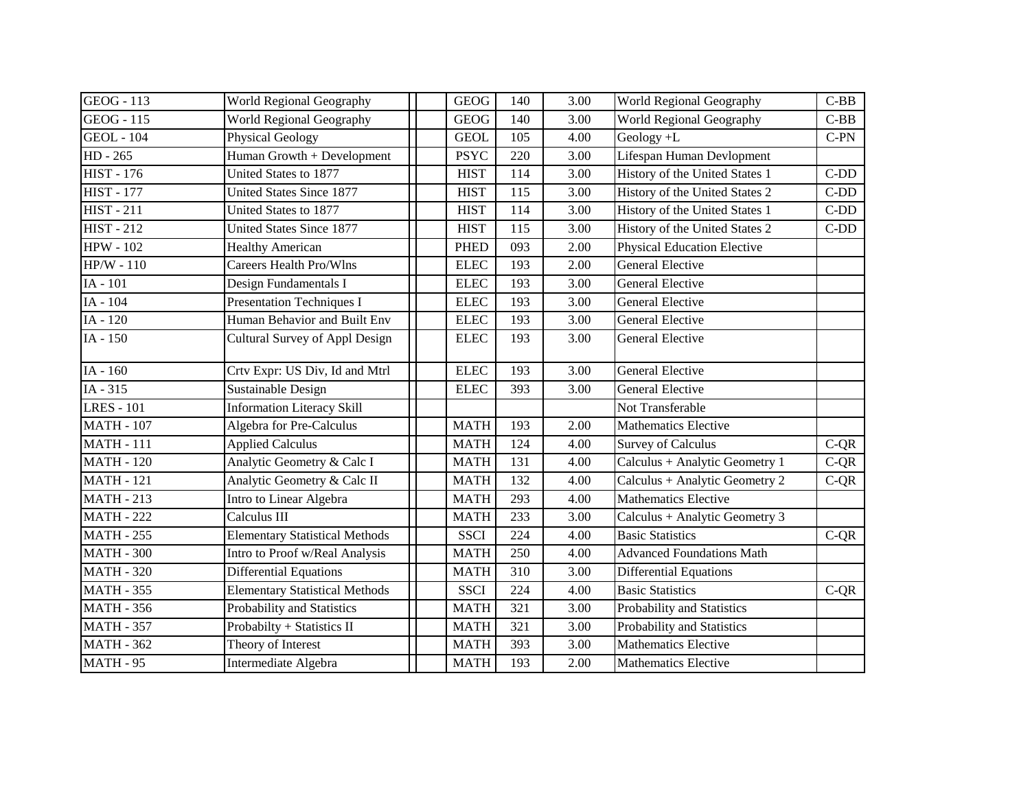| <b>GEOG</b> - 113 | World Regional Geography              |             | <b>GEOG</b> | 140 | 3.00              | World Regional Geography           | $C-BB$ |
|-------------------|---------------------------------------|-------------|-------------|-----|-------------------|------------------------------------|--------|
| $GEOG - 115$      | <b>World Regional Geography</b>       |             | <b>GEOG</b> | 140 | 3.00              | World Regional Geography           | $C-BB$ |
| <b>GEOL</b> - 104 | Physical Geology                      |             | <b>GEOL</b> | 105 | 4.00              | Geology +L                         | $C-PN$ |
| HD - 265          | Human Growth + Development            |             | <b>PSYC</b> | 220 | 3.00              | Lifespan Human Devlopment          |        |
| $HIST - 176$      | United States to 1877                 |             | <b>HIST</b> | 114 | 3.00              | History of the United States 1     | $C-DD$ |
| <b>HIST - 177</b> | United States Since 1877              |             | <b>HIST</b> | 115 | 3.00              | History of the United States 2     | $C-DD$ |
| <b>HIST - 211</b> | United States to 1877                 | <b>HIST</b> |             | 114 | 3.00              | History of the United States 1     | $C-DD$ |
| <b>HIST - 212</b> | <b>United States Since 1877</b>       |             | <b>HIST</b> | 115 | 3.00              | History of the United States 2     | $C-DD$ |
| <b>HPW - 102</b>  | <b>Healthy American</b>               |             | <b>PHED</b> | 093 | 2.00              | <b>Physical Education Elective</b> |        |
| $HP/W - 110$      | <b>Careers Health Pro/Wlns</b>        |             | <b>ELEC</b> | 193 | 2.00              | <b>General Elective</b>            |        |
| IA - 101          | Design Fundamentals I                 |             | <b>ELEC</b> | 193 | 3.00              | <b>General Elective</b>            |        |
| IA - 104          | <b>Presentation Techniques I</b>      |             | <b>ELEC</b> | 193 | 3.00              | <b>General Elective</b>            |        |
| IA - 120          | Human Behavior and Built Env          |             | <b>ELEC</b> | 193 | 3.00              | <b>General Elective</b>            |        |
| $IA - 150$        | Cultural Survey of Appl Design        |             | <b>ELEC</b> | 193 | 3.00              | <b>General Elective</b>            |        |
| IA - 160          | Crtv Expr: US Div, Id and Mtrl        |             | <b>ELEC</b> | 193 | 3.00              | <b>General Elective</b>            |        |
| $IA - 315$        | Sustainable Design                    |             | <b>ELEC</b> | 393 | $\overline{3.00}$ | <b>General Elective</b>            |        |
| <b>LRES</b> - 101 | <b>Information Literacy Skill</b>     |             |             |     |                   | Not Transferable                   |        |
| <b>MATH - 107</b> | Algebra for Pre-Calculus              |             | <b>MATH</b> | 193 | 2.00              | <b>Mathematics Elective</b>        |        |
| <b>MATH - 111</b> | <b>Applied Calculus</b>               |             | <b>MATH</b> | 124 | 4.00              | <b>Survey of Calculus</b>          | $C-QR$ |
| <b>MATH - 120</b> | Analytic Geometry & Calc I            |             | <b>MATH</b> | 131 | 4.00              | Calculus + Analytic Geometry 1     | $C-QR$ |
| <b>MATH - 121</b> | Analytic Geometry & Calc II           |             | <b>MATH</b> | 132 | 4.00              | Calculus + Analytic Geometry 2     | $C-QR$ |
| <b>MATH - 213</b> | Intro to Linear Algebra               |             | <b>MATH</b> | 293 | 4.00              | <b>Mathematics Elective</b>        |        |
| <b>MATH - 222</b> | Calculus III                          | <b>MATH</b> |             | 233 | 3.00              | Calculus + Analytic Geometry 3     |        |
| <b>MATH - 255</b> | <b>Elementary Statistical Methods</b> |             | <b>SSCI</b> | 224 | 4.00              | <b>Basic Statistics</b>            | $C-QR$ |
| <b>MATH - 300</b> | Intro to Proof w/Real Analysis        |             | <b>MATH</b> | 250 | 4.00              | <b>Advanced Foundations Math</b>   |        |
| <b>MATH - 320</b> | <b>Differential Equations</b>         | <b>MATH</b> |             | 310 | 3.00              | <b>Differential Equations</b>      |        |
| <b>MATH - 355</b> | <b>Elementary Statistical Methods</b> |             | <b>SSCI</b> | 224 | 4.00              | <b>Basic Statistics</b>            | $C-QR$ |
| <b>MATH - 356</b> | Probability and Statistics            |             | <b>MATH</b> | 321 | 3.00              | Probability and Statistics         |        |
| <b>MATH - 357</b> | Probabilty + Statistics II            |             | <b>MATH</b> | 321 | 3.00              | Probability and Statistics         |        |
| <b>MATH - 362</b> | Theory of Interest                    |             | <b>MATH</b> | 393 | 3.00              | <b>Mathematics Elective</b>        |        |
| <b>MATH - 95</b>  | Intermediate Algebra                  | <b>MATH</b> |             | 193 | 2.00              | <b>Mathematics Elective</b>        |        |